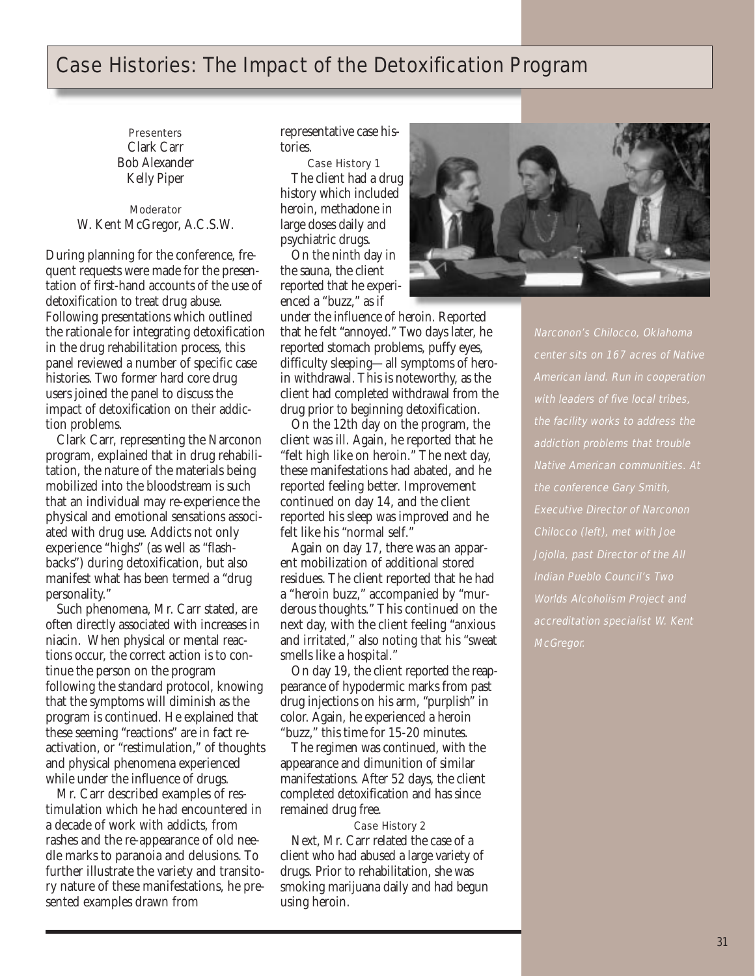## Case Histories: The Impact of the Detoxification Program

**Presenters** Clark Carr Bob Alexander Kelly Piper

Moderator W. Kent McGregor, A.C.S.W.

During planning for the conference, frequent requests were made for the presentation of first-hand accounts of the use of detoxification to treat drug abuse. Following presentations which outlined the rationale for integrating detoxification in the drug rehabilitation process, this panel reviewed a number of specific case histories. Two former hard core drug users joined the panel to discuss the impact of detoxification on their addiction problems.

Clark Carr, representing the Narconon program, explained that in drug rehabilitation, the nature of the materials being mobilized into the bloodstream is such that an individual may re-experience the physical and emotional sensations associated with drug use. Addicts not only experience "highs" (as well as "flashbacks") during detoxification, but also manifest what has been termed a "drug personality."

Such phenomena, Mr. Carr stated, are often directly associated with increases in niacin. When physical or mental reactions occur, the correct action is to continue the person on the program following the standard protocol, knowing that the symptoms will diminish as the program is continued. He explained that these seeming "reactions" are in fact reactivation, or "restimulation," of thoughts and physical phenomena experienced while under the influence of drugs.

Mr. Carr described examples of restimulation which he had encountered in a decade of work with addicts, from rashes and the re-appearance of old needle marks to paranoia and delusions. To further illustrate the variety and transitory nature of these manifestations, he presented examples drawn from

representative case histories.

Case History 1 The client had a drug history which included heroin, methadone in large doses daily and psychiatric drugs. On the ninth day in

the sauna, the client reported that he experienced a "buzz," as if

under the influence of heroin. Reported that he felt "annoyed." Two days later, he reported stomach problems, puffy eyes, difficulty sleeping—all symptoms of heroin withdrawal. This is noteworthy, as the client had completed withdrawal from the drug prior to beginning detoxification.

On the 12th day on the program, the client was ill. Again, he reported that he "felt high like on heroin." The next day, these manifestations had abated, and he reported feeling better. Improvement continued on day 14, and the client reported his sleep was improved and he felt like his "normal self."

Again on day 17, there was an apparent mobilization of additional stored residues. The client reported that he had a "heroin buzz," accompanied by "murderous thoughts." This continued on the next day, with the client feeling "anxious and irritated," also noting that his "sweat smells like a hospital."

On day 19, the client reported the reappearance of hypodermic marks from past drug injections on his arm, "purplish" in color. Again, he experienced a heroin "buzz," this time for 15-20 minutes.

The regimen was continued, with the appearance and dimunition of similar manifestations. After 52 days, the client completed detoxification and has since remained drug free.

Case History 2 Next, Mr. Carr related the case of a client who had abused a large variety of drugs. Prior to rehabilitation, she was smoking marijuana daily and had begun using heroin.



Narconon's Chilocco, Oklahoma center sits on 167 acres of Native American land. Run in cooperation with leaders of five local tribes, the facility works to address the addiction problems that trouble Native American communities. At the conference Gary Smith, Executive Director of Narconon Chilocco (left), met with Joe Jojolla, past Director of the All Indian Pueblo Council's Two Worlds Alcoholism Project and accreditation specialist W. Kent McGregor.